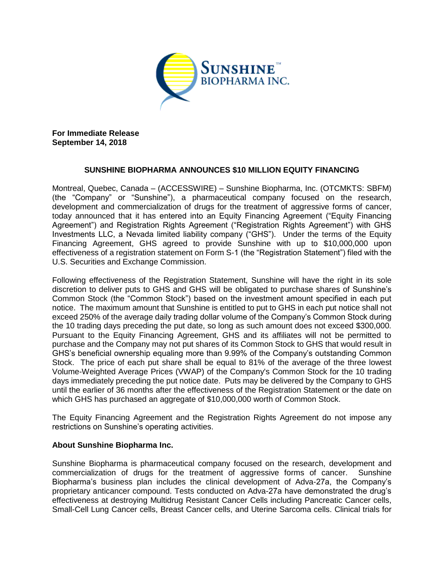

**For Immediate Release September 14, 2018**

## **SUNSHINE BIOPHARMA ANNOUNCES \$10 MILLION EQUITY FINANCING**

Montreal, Quebec, Canada – (ACCESSWIRE) – Sunshine Biopharma, Inc. (OTCMKTS: SBFM) (the "Company" or "Sunshine"), a pharmaceutical company focused on the research, development and commercialization of drugs for the treatment of aggressive forms of cancer, today announced that it has entered into an Equity Financing Agreement ("Equity Financing Agreement") and Registration Rights Agreement ("Registration Rights Agreement") with GHS Investments LLC, a Nevada limited liability company ("GHS"). Under the terms of the Equity Financing Agreement, GHS agreed to provide Sunshine with up to \$10,000,000 upon effectiveness of a registration statement on Form S-1 (the "Registration Statement") filed with the U.S. Securities and Exchange Commission.

Following effectiveness of the Registration Statement, Sunshine will have the right in its sole discretion to deliver puts to GHS and GHS will be obligated to purchase shares of Sunshine's Common Stock (the "Common Stock") based on the investment amount specified in each put notice. The maximum amount that Sunshine is entitled to put to GHS in each put notice shall not exceed 250% of the average daily trading dollar volume of the Company's Common Stock during the 10 trading days preceding the put date, so long as such amount does not exceed \$300,000. Pursuant to the Equity Financing Agreement, GHS and its affiliates will not be permitted to purchase and the Company may not put shares of its Common Stock to GHS that would result in GHS's beneficial ownership equaling more than 9.99% of the Company's outstanding Common Stock. The price of each put share shall be equal to 81% of the average of the three lowest Volume-Weighted Average Prices (VWAP) of the Company's Common Stock for the 10 trading days immediately preceding the put notice date. Puts may be delivered by the Company to GHS until the earlier of 36 months after the effectiveness of the Registration Statement or the date on which GHS has purchased an aggregate of \$10,000,000 worth of Common Stock.

The Equity Financing Agreement and the Registration Rights Agreement do not impose any restrictions on Sunshine's operating activities.

## **About Sunshine Biopharma Inc.**

Sunshine Biopharma is pharmaceutical company focused on the research, development and commercialization of drugs for the treatment of aggressive forms of cancer. Sunshine Biopharma's business plan includes the clinical development of Adva-27a, the Company's proprietary anticancer compound. Tests conducted on Adva-27a have demonstrated the drug's effectiveness at destroying Multidrug Resistant Cancer Cells including Pancreatic Cancer cells, Small-Cell Lung Cancer cells, Breast Cancer cells, and Uterine Sarcoma cells. Clinical trials for